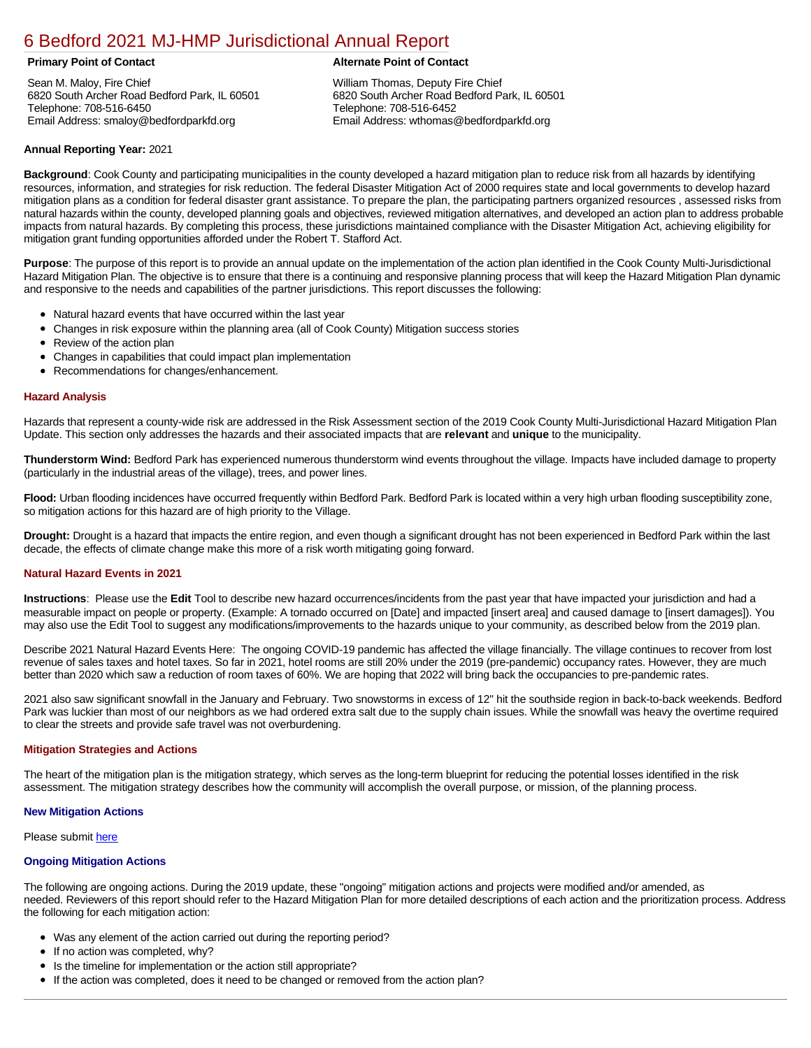# [6 Bedford 2021 MJ-HMP Jurisdictional Annual Report](https://bedford.isc-cemp.com/Cemp/Details?id=8322812)

Sean M. Maloy, Fire Chief 6820 South Archer Road Bedford Park, IL 60501 Telephone: 708-516-6450 Email Address: smaloy@bedfordparkfd.org

# **Primary Point of Contact Alternate Point of Contact**

William Thomas, Deputy Fire Chief 6820 South Archer Road Bedford Park, IL 60501 Telephone: 708-516-6452 Email Address: wthomas@bedfordparkfd.org

## **Annual Reporting Year:** 2021

**Background**: Cook County and participating municipalities in the county developed a hazard mitigation plan to reduce risk from all hazards by identifying resources, information, and strategies for risk reduction. The federal Disaster Mitigation Act of 2000 requires state and local governments to develop hazard mitigation plans as a condition for federal disaster grant assistance. To prepare the plan, the participating partners organized resources , assessed risks from natural hazards within the county, developed planning goals and objectives, reviewed mitigation alternatives, and developed an action plan to address probable impacts from natural hazards. By completing this process, these jurisdictions maintained compliance with the Disaster Mitigation Act, achieving eligibility for mitigation grant funding opportunities afforded under the Robert T. Stafford Act.

**Purpose**: The purpose of this report is to provide an annual update on the implementation of the action plan identified in the Cook County Multi-Jurisdictional Hazard Mitigation Plan. The objective is to ensure that there is a continuing and responsive planning process that will keep the Hazard Mitigation Plan dynamic and responsive to the needs and capabilities of the partner jurisdictions. This report discusses the following:

- Natural hazard events that have occurred within the last year
- Changes in risk exposure within the planning area (all of Cook County) Mitigation success stories
- $\bullet$ Review of the action plan
- $\bullet$ Changes in capabilities that could impact plan implementation
- Recommendations for changes/enhancement.

### **Hazard Analysis**

Hazards that represent a county-wide risk are addressed in the Risk Assessment section of the 2019 Cook County Multi-Jurisdictional Hazard Mitigation Plan Update. This section only addresses the hazards and their associated impacts that are **relevant** and **unique** to the municipality.

**Thunderstorm Wind:** Bedford Park has experienced numerous thunderstorm wind events throughout the village. Impacts have included damage to property (particularly in the industrial areas of the village), trees, and power lines.

**Flood:** Urban flooding incidences have occurred frequently within Bedford Park. Bedford Park is located within a very high urban flooding susceptibility zone, so mitigation actions for this hazard are of high priority to the Village.

**Drought:** Drought is a hazard that impacts the entire region, and even though a significant drought has not been experienced in Bedford Park within the last decade, the effects of climate change make this more of a risk worth mitigating going forward.

#### **Natural Hazard Events in 2021**

**Instructions**: Please use the **Edit** Tool to describe new hazard occurrences/incidents from the past year that have impacted your jurisdiction and had a measurable impact on people or property. (Example: A tornado occurred on [Date] and impacted [insert area] and caused damage to [insert damages]). You may also use the Edit Tool to suggest any modifications/improvements to the hazards unique to your community, as described below from the 2019 plan.

Describe 2021 Natural Hazard Events Here: The ongoing COVID-19 pandemic has affected the village financially. The village continues to recover from lost revenue of sales taxes and hotel taxes. So far in 2021, hotel rooms are still 20% under the 2019 (pre-pandemic) occupancy rates. However, they are much better than 2020 which saw a reduction of room taxes of 60%. We are hoping that 2022 will bring back the occupancies to pre-pandemic rates.

2021 also saw significant snowfall in the January and February. Two snowstorms in excess of 12" hit the southside region in back-to-back weekends. Bedford Park was luckier than most of our neighbors as we had ordered extra salt due to the supply chain issues. While the snowfall was heavy the overtime required to clear the streets and provide safe travel was not overburdening.

#### **Mitigation Strategies and Actions**

The heart of the mitigation plan is the mitigation strategy, which serves as the long-term blueprint for reducing the potential losses identified in the risk assessment. The mitigation strategy describes how the community will accomplish the overall purpose, or mission, of the planning process.

#### **New Mitigation Actions**

Please submit [here](https://integratedsolutions.wufoo.com/forms/mg21jvf0jn639o/)

#### **Ongoing Mitigation Actions**

The following are ongoing actions. During the 2019 update, these "ongoing" mitigation actions and projects were modified and/or amended, as needed. Reviewers of this report should refer to the Hazard Mitigation Plan for more detailed descriptions of each action and the prioritization process. Address the following for each mitigation action:

- Was any element of the action carried out during the reporting period?
- If no action was completed, why?
- Is the timeline for implementation or the action still appropriate?
- If the action was completed, does it need to be changed or removed from the action plan?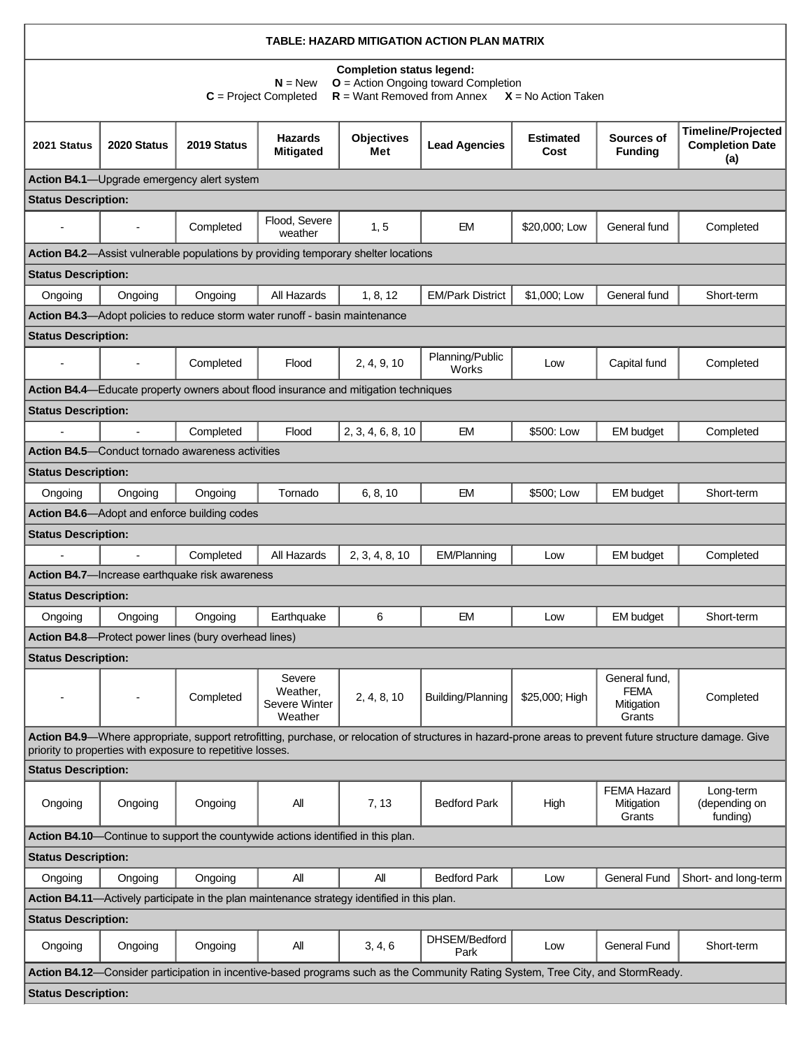| TABLE: HAZARD MITIGATION ACTION PLAN MATRIX                                                                                                                                                                             |                |                                                                                  |                                                |                                                                                     |                                                                                                                                 |                          |                                                      |                                                            |  |  |  |  |
|-------------------------------------------------------------------------------------------------------------------------------------------------------------------------------------------------------------------------|----------------|----------------------------------------------------------------------------------|------------------------------------------------|-------------------------------------------------------------------------------------|---------------------------------------------------------------------------------------------------------------------------------|--------------------------|------------------------------------------------------|------------------------------------------------------------|--|--|--|--|
| <b>Completion status legend:</b><br>$O =$ Action Ongoing toward Completion<br>$N = New$<br>$R =$ Want Removed from Annex<br>$C = Project Completed$<br>$X = No$ Action Taken                                            |                |                                                                                  |                                                |                                                                                     |                                                                                                                                 |                          |                                                      |                                                            |  |  |  |  |
| 2021 Status                                                                                                                                                                                                             | 2020 Status    | 2019 Status                                                                      | <b>Hazards</b><br><b>Mitigated</b>             | <b>Objectives</b><br>Met                                                            | <b>Lead Agencies</b>                                                                                                            | <b>Estimated</b><br>Cost | Sources of<br><b>Funding</b>                         | <b>Timeline/Projected</b><br><b>Completion Date</b><br>(a) |  |  |  |  |
| Action B4.1-Upgrade emergency alert system                                                                                                                                                                              |                |                                                                                  |                                                |                                                                                     |                                                                                                                                 |                          |                                                      |                                                            |  |  |  |  |
| <b>Status Description:</b>                                                                                                                                                                                              |                |                                                                                  |                                                |                                                                                     |                                                                                                                                 |                          |                                                      |                                                            |  |  |  |  |
|                                                                                                                                                                                                                         | $\overline{a}$ | Completed                                                                        | Flood, Severe<br>weather                       | 1, 5                                                                                | EM                                                                                                                              | \$20,000; Low            | General fund                                         | Completed                                                  |  |  |  |  |
|                                                                                                                                                                                                                         |                |                                                                                  |                                                | Action B4.2-Assist vulnerable populations by providing temporary shelter locations  |                                                                                                                                 |                          |                                                      |                                                            |  |  |  |  |
| <b>Status Description:</b>                                                                                                                                                                                              |                |                                                                                  |                                                |                                                                                     |                                                                                                                                 |                          |                                                      |                                                            |  |  |  |  |
| Ongoing                                                                                                                                                                                                                 | Ongoing        | Ongoing                                                                          | All Hazards                                    | 1, 8, 12                                                                            | <b>EM/Park District</b>                                                                                                         | \$1,000; Low             | General fund                                         | Short-term                                                 |  |  |  |  |
|                                                                                                                                                                                                                         |                | Action B4.3-Adopt policies to reduce storm water runoff - basin maintenance      |                                                |                                                                                     |                                                                                                                                 |                          |                                                      |                                                            |  |  |  |  |
| <b>Status Description:</b>                                                                                                                                                                                              |                |                                                                                  |                                                |                                                                                     |                                                                                                                                 |                          |                                                      |                                                            |  |  |  |  |
|                                                                                                                                                                                                                         | $\overline{a}$ | Completed                                                                        | Flood                                          | 2, 4, 9, 10                                                                         | Planning/Public<br>Works                                                                                                        | Low                      | Capital fund                                         | Completed                                                  |  |  |  |  |
|                                                                                                                                                                                                                         |                |                                                                                  |                                                | Action B4.4—Educate property owners about flood insurance and mitigation techniques |                                                                                                                                 |                          |                                                      |                                                            |  |  |  |  |
| <b>Status Description:</b>                                                                                                                                                                                              |                |                                                                                  |                                                |                                                                                     |                                                                                                                                 |                          |                                                      |                                                            |  |  |  |  |
|                                                                                                                                                                                                                         |                | Completed                                                                        | Flood                                          | 2, 3, 4, 6, 8, 10                                                                   | <b>EM</b>                                                                                                                       | \$500: Low               | <b>EM</b> budget                                     | Completed                                                  |  |  |  |  |
|                                                                                                                                                                                                                         |                | <b>Action B4.5</b> —Conduct tornado awareness activities                         |                                                |                                                                                     |                                                                                                                                 |                          |                                                      |                                                            |  |  |  |  |
| <b>Status Description:</b>                                                                                                                                                                                              |                |                                                                                  |                                                |                                                                                     |                                                                                                                                 |                          |                                                      |                                                            |  |  |  |  |
| Ongoing                                                                                                                                                                                                                 | Ongoing        | Ongoing                                                                          | Tornado                                        | 6, 8, 10                                                                            | <b>EM</b>                                                                                                                       | \$500; Low               | <b>EM</b> budget                                     | Short-term                                                 |  |  |  |  |
|                                                                                                                                                                                                                         |                | Action B4.6-Adopt and enforce building codes                                     |                                                |                                                                                     |                                                                                                                                 |                          |                                                      |                                                            |  |  |  |  |
| <b>Status Description:</b>                                                                                                                                                                                              |                |                                                                                  |                                                |                                                                                     |                                                                                                                                 |                          |                                                      |                                                            |  |  |  |  |
|                                                                                                                                                                                                                         | $\overline{a}$ | Completed                                                                        | All Hazards                                    | 2, 3, 4, 8, 10                                                                      | EM/Planning                                                                                                                     | Low                      | <b>EM</b> budget                                     | Completed                                                  |  |  |  |  |
|                                                                                                                                                                                                                         |                | Action B4.7-Increase earthquake risk awareness                                   |                                                |                                                                                     |                                                                                                                                 |                          |                                                      |                                                            |  |  |  |  |
| <b>Status Description:</b>                                                                                                                                                                                              |                |                                                                                  |                                                |                                                                                     |                                                                                                                                 |                          |                                                      |                                                            |  |  |  |  |
| Ongoing                                                                                                                                                                                                                 | Ongoing        | Ongoing                                                                          | Earthquake                                     | 6                                                                                   | <b>FM</b>                                                                                                                       | Low                      | EM budget                                            | Short-term                                                 |  |  |  |  |
|                                                                                                                                                                                                                         |                | <b>Action B4.8</b> —Protect power lines (bury overhead lines)                    |                                                |                                                                                     |                                                                                                                                 |                          |                                                      |                                                            |  |  |  |  |
| <b>Status Description:</b>                                                                                                                                                                                              |                |                                                                                  |                                                |                                                                                     |                                                                                                                                 |                          |                                                      |                                                            |  |  |  |  |
|                                                                                                                                                                                                                         |                | Completed                                                                        | Severe<br>Weather,<br>Severe Winter<br>Weather | 2, 4, 8, 10                                                                         | Building/Planning                                                                                                               | \$25,000; High           | General fund,<br><b>FEMA</b><br>Mitigation<br>Grants | Completed                                                  |  |  |  |  |
| Action B4.9—Where appropriate, support retrofitting, purchase, or relocation of structures in hazard-prone areas to prevent future structure damage. Give<br>priority to properties with exposure to repetitive losses. |                |                                                                                  |                                                |                                                                                     |                                                                                                                                 |                          |                                                      |                                                            |  |  |  |  |
| <b>Status Description:</b>                                                                                                                                                                                              |                |                                                                                  |                                                |                                                                                     |                                                                                                                                 |                          |                                                      |                                                            |  |  |  |  |
| Ongoing                                                                                                                                                                                                                 | Ongoing        | Ongoing                                                                          | All                                            | 7, 13                                                                               | <b>Bedford Park</b>                                                                                                             | High                     | <b>FEMA Hazard</b><br>Mitigation<br>Grants           | Long-term<br>(depending on<br>funding)                     |  |  |  |  |
|                                                                                                                                                                                                                         |                | Action B4.10—Continue to support the countywide actions identified in this plan. |                                                |                                                                                     |                                                                                                                                 |                          |                                                      |                                                            |  |  |  |  |
| <b>Status Description:</b>                                                                                                                                                                                              |                |                                                                                  |                                                |                                                                                     |                                                                                                                                 |                          |                                                      |                                                            |  |  |  |  |
| Ongoing                                                                                                                                                                                                                 | Ongoing        | Ongoing                                                                          | All                                            | All                                                                                 | <b>Bedford Park</b>                                                                                                             | Low                      | <b>General Fund</b>                                  | Short- and long-term                                       |  |  |  |  |
| Action B4.11-Actively participate in the plan maintenance strategy identified in this plan.                                                                                                                             |                |                                                                                  |                                                |                                                                                     |                                                                                                                                 |                          |                                                      |                                                            |  |  |  |  |
| <b>Status Description:</b>                                                                                                                                                                                              |                |                                                                                  |                                                |                                                                                     |                                                                                                                                 |                          |                                                      |                                                            |  |  |  |  |
| Ongoing                                                                                                                                                                                                                 | Ongoing        | Ongoing                                                                          | All                                            | 3, 4, 6                                                                             | DHSEM/Bedford<br>Park                                                                                                           | Low                      | General Fund                                         | Short-term                                                 |  |  |  |  |
|                                                                                                                                                                                                                         |                |                                                                                  |                                                |                                                                                     | Action B4.12—Consider participation in incentive-based programs such as the Community Rating System, Tree City, and StormReady. |                          |                                                      |                                                            |  |  |  |  |
| <b>Status Description:</b>                                                                                                                                                                                              |                |                                                                                  |                                                |                                                                                     |                                                                                                                                 |                          |                                                      |                                                            |  |  |  |  |